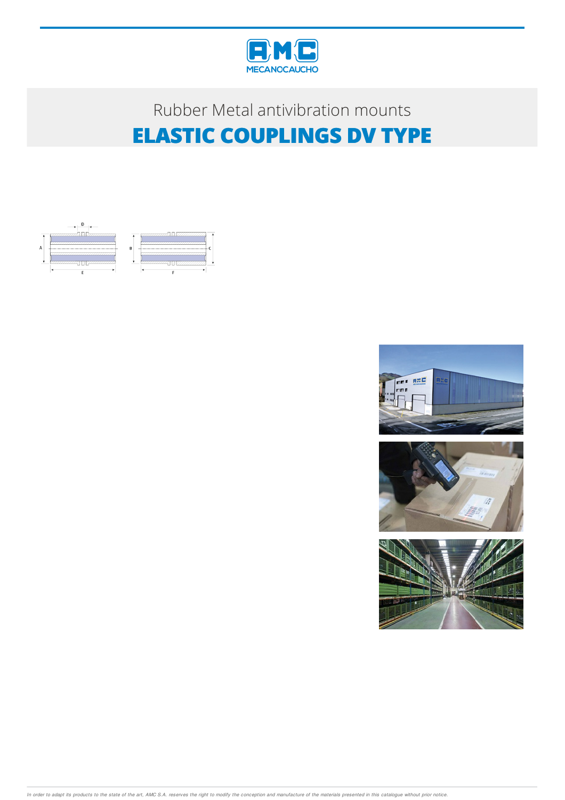

## Rubber Metal antivibration mounts **ELASTIC COUPLINGS DV TYPE**









In order to adapt its products to the state of the art, AMC S.A. reserves the right to modify the conception and manufacture of the materials presented in this catalogue without prior notice.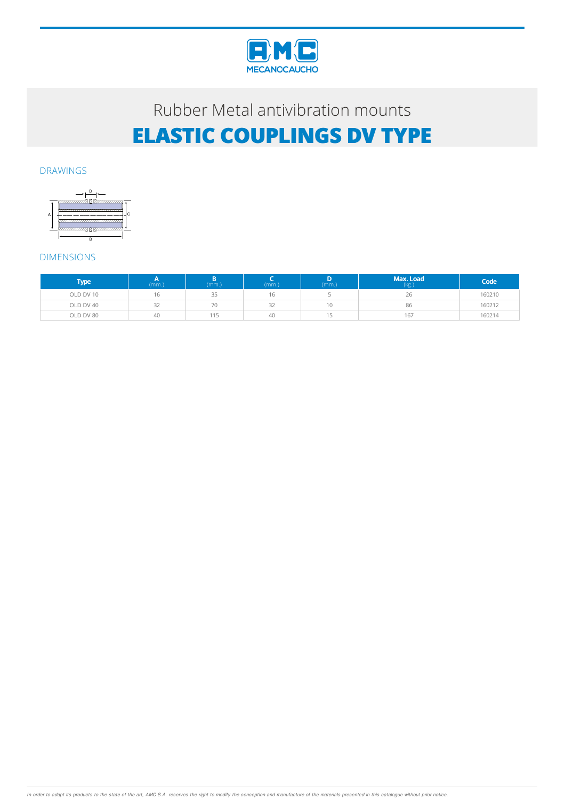

## Rubber Metal antivibration mounts **ELASTIC COUPLINGS DV TYPE**

#### DRAWINGS



### DIMENSIONS

| <b>Type</b> | (mm.) | (mm.) | (mm.) | (mm.) | Max. Load<br>(kg.) | Code   |
|-------------|-------|-------|-------|-------|--------------------|--------|
| OLD DV 10   | 16    | 35    | 16    |       | 26                 | 160210 |
| OLD DV 40   | 32    | 70    | 32    | 10    | 86                 | 160212 |
| OLD DV 80   | 40    | 115   | 40    |       | 167                | 160214 |